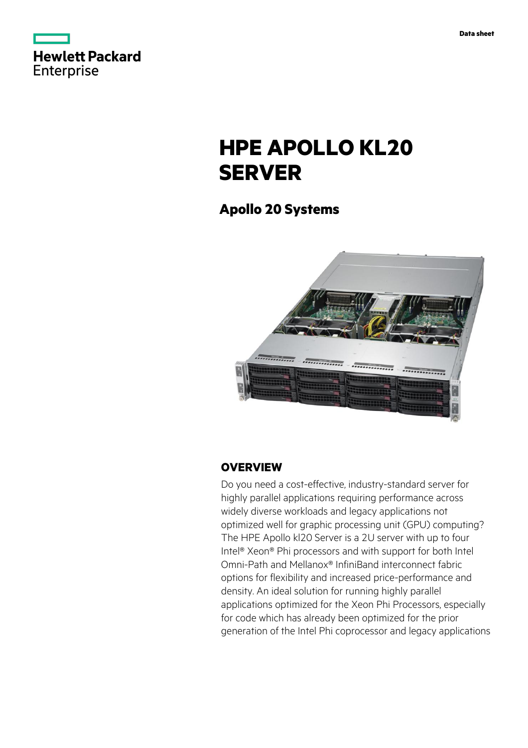



# **HPE APOLLO KL20 SERVER**

# **Apollo 20 Systems**



### **OVERVIEW**

Do you need a cost-effective, industry-standard server for highly parallel applications requiring performance across widely diverse workloads and legacy applications not optimized well for graphic processing unit (GPU) computing? The HPE Apollo kl20 Server is a 2U server with up to four Intel® Xeon® Phi processors and with support for both Intel Omni-Path and Mellanox® InfiniBand interconnect fabric options for flexibility and increased price-performance and density. An ideal solution for running highly parallel applications optimized for the Xeon Phi Processors, especially for code which has already been optimized for the prior generation of the Intel Phi coprocessor and legacy applications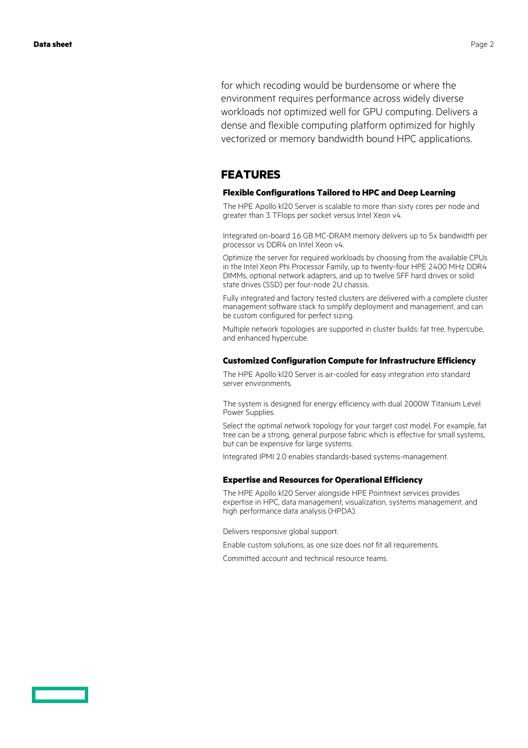for which recoding would be burdensome or where the environment requires performance across widely diverse workloads not optimized well for GPU computing. Delivers a dense and flexible computing platform optimized for highly vectorized or memory bandwidth bound HPC applications.

### **FEATURES**

#### **Flexible Configurations Tailored to HPC and Deep Learning**

The HPE Apollo kl20 Server is scalable to more than sixty cores per node and greater than 3 TFlops per socket versus Intel Xeon v4.

Integrated on-board 16 GB MC-DRAM memory delivers up to 5x bandwidth per processor vs DDR4 on Intel Xeon v4.

Optimize the server for required workloads by choosing from the available CPUs in the Intel Xeon Phi Processor Family, up to twenty-four HPE 2400 MHz DDR4 DIMMs, optional network adapters, and up to twelve SFF hard drives or solid state drives (SSD) per four-node 2U chassis.

Fully integrated and factory tested clusters are delivered with a complete cluster management software stack to simplify deployment and management, and can be custom configured for perfect sizing.

Multiple network topologies are supported in cluster builds: fat tree, hypercube, and enhanced hypercube.

#### **Customized Configuration Compute for Infrastructure Efficiency**

The HPE Apollo kl20 Server is air-cooled for easy integration into standard server environments.

The system is designed for energy efficiency with dual 2000W Titanium Level Power Supplies.

Select the optimal network topology for your target cost model. For example, fat tree can be a strong, general purpose fabric which is effective for small systems, but can be expensive for large systems.

Integrated IPMI 2.0 enables standards-based systems-management.

#### **Expertise and Resources for Operational Efficiency**

The HPE Apollo kl20 Server alongside HPE Pointnext services provides expertise in HPC, data management, visualization, systems management, and high performance data analysis (HPDA).

Delivers responsive global support.

Enable custom solutions, as one size does not fit all requirements.

Committed account and technical resource teams.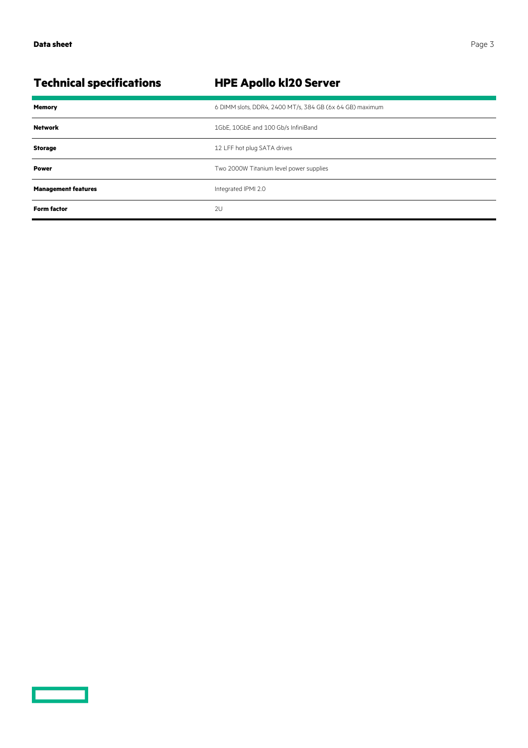<u>a sa sainte ann an Saonachd ann an S</u>

| <b>Technical specifications</b> | <b>HPE Apollo kl20 Server</b>                            |
|---------------------------------|----------------------------------------------------------|
| <b>Memory</b>                   | 6 DIMM slots, DDR4, 2400 MT/s, 384 GB (6x 64 GB) maximum |
| <b>Network</b>                  | 1GbE, 10GbE and 100 Gb/s InfiniBand                      |
| <b>Storage</b>                  | 12 LFF hot plug SATA drives                              |
| <b>Power</b>                    | Two 2000W Titanium level power supplies                  |
| <b>Management features</b>      | Integrated IPMI 2.0                                      |
| <b>Form factor</b>              | 2U                                                       |